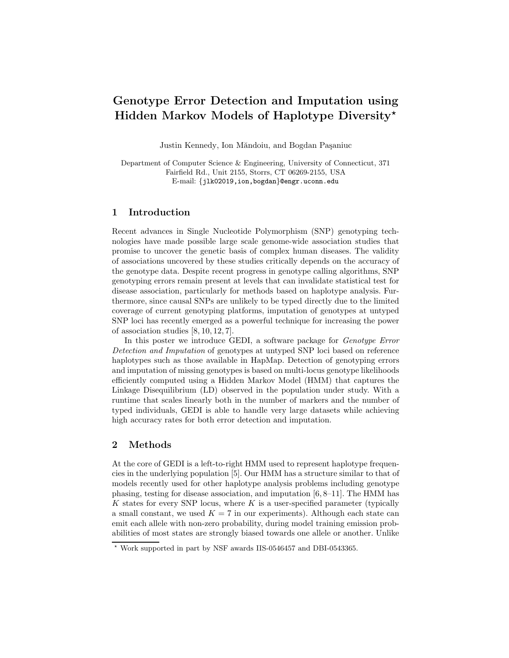# Genotype Error Detection and Imputation using Hidden Markov Models of Haplotype Diversity ?

Justin Kennedy, Ion Măndoiu, and Bogdan Paşaniuc

Department of Computer Science & Engineering, University of Connecticut, 371 Fairfield Rd., Unit 2155, Storrs, CT 06269-2155, USA E-mail: {jlk02019,ion,bogdan}@engr.uconn.edu

### 1 Introduction

Recent advances in Single Nucleotide Polymorphism (SNP) genotyping technologies have made possible large scale genome-wide association studies that promise to uncover the genetic basis of complex human diseases. The validity of associations uncovered by these studies critically depends on the accuracy of the genotype data. Despite recent progress in genotype calling algorithms, SNP genotyping errors remain present at levels that can invalidate statistical test for disease association, particularly for methods based on haplotype analysis. Furthermore, since causal SNPs are unlikely to be typed directly due to the limited coverage of current genotyping platforms, imputation of genotypes at untyped SNP loci has recently emerged as a powerful technique for increasing the power of association studies [8, 10, 12, 7].

In this poster we introduce GEDI, a software package for Genotype Error Detection and Imputation of genotypes at untyped SNP loci based on reference haplotypes such as those available in HapMap. Detection of genotyping errors and imputation of missing genotypes is based on multi-locus genotype likelihoods efficiently computed using a Hidden Markov Model (HMM) that captures the Linkage Disequilibrium (LD) observed in the population under study. With a runtime that scales linearly both in the number of markers and the number of typed individuals, GEDI is able to handle very large datasets while achieving high accuracy rates for both error detection and imputation.

## 2 Methods

At the core of GEDI is a left-to-right HMM used to represent haplotype frequencies in the underlying population [5]. Our HMM has a structure similar to that of models recently used for other haplotype analysis problems including genotype phasing, testing for disease association, and imputation [6, 8–11]. The HMM has K states for every SNP locus, where  $K$  is a user-specified parameter (typically a small constant, we used  $K = 7$  in our experiments). Although each state can emit each allele with non-zero probability, during model training emission probabilities of most states are strongly biased towards one allele or another. Unlike

<sup>?</sup> Work supported in part by NSF awards IIS-0546457 and DBI-0543365.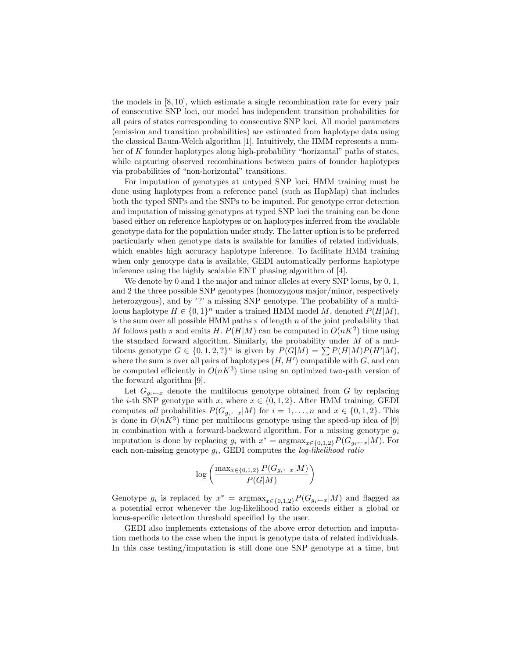the models in [8, 10], which estimate a single recombination rate for every pair of consecutive SNP loci, our model has independent transition probabilities for all pairs of states corresponding to consecutive SNP loci. All model parameters (emission and transition probabilities) are estimated from haplotype data using the classical Baum-Welch algorithm [1]. Intuitively, the HMM represents a number of  $K$  founder haplotypes along high-probability "horizontal" paths of states, while capturing observed recombinations between pairs of founder haplotypes via probabilities of "non-horizontal" transitions.

For imputation of genotypes at untyped SNP loci, HMM training must be done using haplotypes from a reference panel (such as HapMap) that includes both the typed SNPs and the SNPs to be imputed. For genotype error detection and imputation of missing genotypes at typed SNP loci the training can be done based either on reference haplotypes or on haplotypes inferred from the available genotype data for the population under study. The latter option is to be preferred particularly when genotype data is available for families of related individuals, which enables high accuracy haplotype inference. To facilitate HMM training when only genotype data is available, GEDI automatically performs haplotype inference using the highly scalable ENT phasing algorithm of [4].

We denote by 0 and 1 the major and minor alleles at every SNP locus, by 0, 1, and 2 the three possible SNP genotypes (homozygous major/minor, respectively heterozygous), and by '?' a missing SNP genotype. The probability of a multilocus haplotype  $H \in \{0,1\}^n$  under a trained HMM model M, denoted  $P(H|M)$ , is the sum over all possible HMM paths  $\pi$  of length n of the joint probability that M follows path  $\pi$  and emits H.  $P(H|M)$  can be computed in  $O(nK^2)$  time using the standard forward algorithm. Similarly, the probability under  $M$  of a multilocus genotype  $G \in \{0, 1, 2, ?\}^n$  is given by  $P(G|M) = \sum P(H|M)P(H'|M)$ , where the sum is over all pairs of haplotypes  $(H, H')$  compatible with  $G$ , and can be computed efficiently in  $O(nK^3)$  time using an optimized two-path version of the forward algorithm [9].

Let  $G_{g_i \leftarrow x}$  denote the multilocus genotype obtained from G by replacing the *i*-th SNP genotype with x, where  $x \in \{0, 1, 2\}$ . After HMM training, GEDI computes all probabilities  $P(G_{g_i \leftarrow x}|M)$  for  $i = 1, ..., n$  and  $x \in \{0, 1, 2\}$ . This is done in  $O(nK^3)$  time per multilocus genotype using the speed-up idea of [9] in combination with a forward-backward algorithm. For a missing genotype  $q_i$ imputation is done by replacing  $g_i$  with  $x^* = \text{argmax}_{x \in \{0,1,2\}} P(G_{g_i \leftarrow x}|M)$ . For each non-missing genotype  $g_i$ , GEDI computes the *log-likelihood ratio* 

$$
\log\left(\frac{\max_{x\in\{0,1,2\}} P(G_{gi\leftarrow x}|M)}{P(G|M)}\right)
$$

Genotype  $g_i$  is replaced by  $x^* = \text{argmax}_{x \in \{0,1,2\}} P(G_{g_i \leftarrow x}|M)$  and flagged as a potential error whenever the log-likelihood ratio exceeds either a global or locus-specific detection threshold specified by the user.

GEDI also implements extensions of the above error detection and imputation methods to the case when the input is genotype data of related individuals. In this case testing/imputation is still done one SNP genotype at a time, but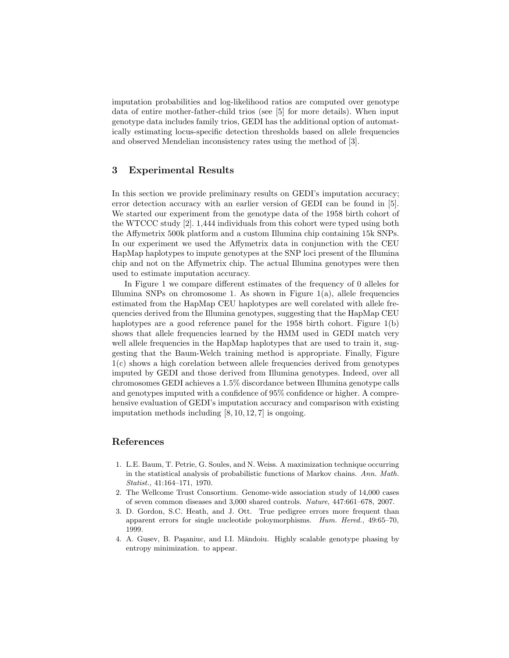imputation probabilities and log-likelihood ratios are computed over genotype data of entire mother-father-child trios (see [5] for more details). When input genotype data includes family trios, GEDI has the additional option of automatically estimating locus-specific detection thresholds based on allele frequencies and observed Mendelian inconsistency rates using the method of [3].

#### 3 Experimental Results

In this section we provide preliminary results on GEDI's imputation accuracy; error detection accuracy with an earlier version of GEDI can be found in [5]. We started our experiment from the genotype data of the 1958 birth cohort of the WTCCC study [2]. 1,444 individuals from this cohort were typed using both the Affymetrix 500k platform and a custom Illumina chip containing 15k SNPs. In our experiment we used the Affymetrix data in conjunction with the CEU HapMap haplotypes to impute genotypes at the SNP loci present of the Illumina chip and not on the Affymetrix chip. The actual Illumina genotypes were then used to estimate imputation accuracy.

In Figure 1 we compare different estimates of the frequency of 0 alleles for Illumina SNPs on chromosome 1. As shown in Figure  $1(a)$ , allele frequencies estimated from the HapMap CEU haplotypes are well corelated with allele frequencies derived from the Illumina genotypes, suggesting that the HapMap CEU haplotypes are a good reference panel for the 1958 birth cohort. Figure 1(b) shows that allele frequencies learned by the HMM used in GEDI match very well allele frequencies in the HapMap haplotypes that are used to train it, suggesting that the Baum-Welch training method is appropriate. Finally, Figure 1(c) shows a high corelation between allele frequencies derived from genotypes imputed by GEDI and those derived from Illumina genotypes. Indeed, over all chromosomes GEDI achieves a 1.5% discordance between Illumina genotype calls and genotypes imputed with a confidence of 95% confidence or higher. A comprehensive evaluation of GEDI's imputation accuracy and comparison with existing imputation methods including  $[8, 10, 12, 7]$  is ongoing.

#### References

- 1. L.E. Baum, T. Petrie, G. Soules, and N. Weiss. A maximization technique occurring in the statistical analysis of probabilistic functions of Markov chains. Ann. Math. Statist., 41:164–171, 1970.
- 2. The Wellcome Trust Consortium. Genome-wide association study of 14,000 cases of seven common diseases and 3,000 shared controls. Nature, 447:661–678, 2007.
- 3. D. Gordon, S.C. Heath, and J. Ott. True pedigree errors more frequent than apparent errors for single nucleotide poloymorphisms. Hum. Hered., 49:65–70, 1999.
- 4. A. Gusev, B. Paşaniuc, and I.I. Măndoiu. Highly scalable genotype phasing by entropy minimization. to appear.